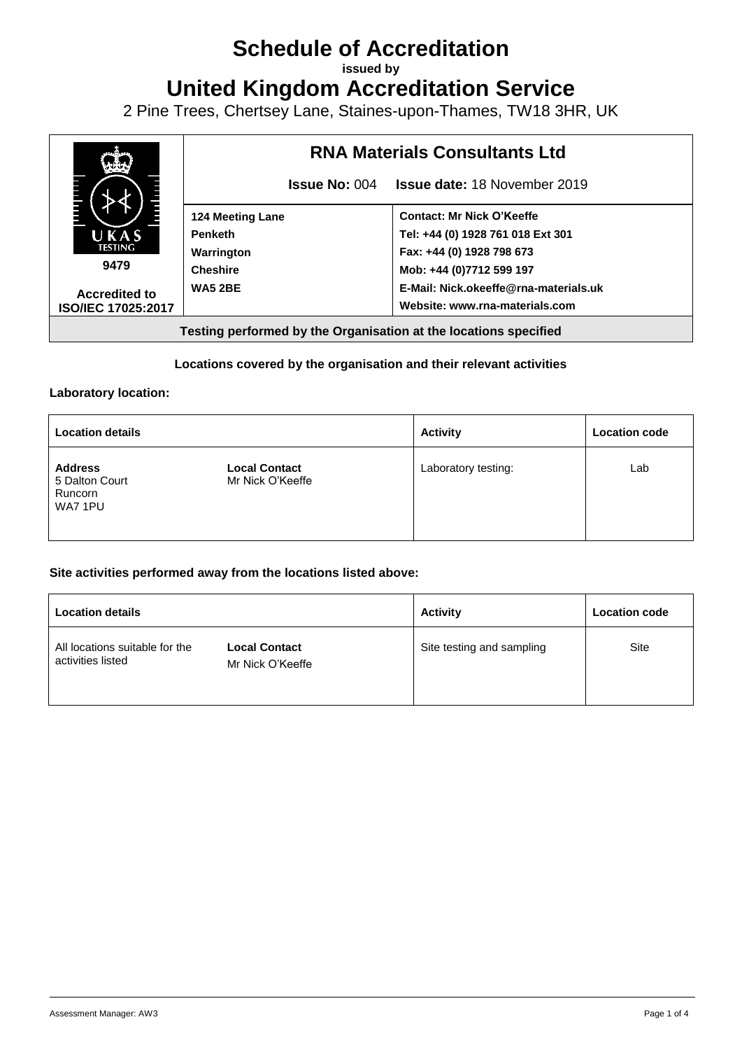# **Schedule of Accreditation**

**issued by**

**United Kingdom Accreditation Service**

2 Pine Trees, Chertsey Lane, Staines-upon-Thames, TW18 3HR, UK



#### **Locations covered by the organisation and their relevant activities**

#### **Laboratory location:**

| <b>Location details</b>                                |                                          | <b>Activity</b>     | <b>Location code</b> |
|--------------------------------------------------------|------------------------------------------|---------------------|----------------------|
| <b>Address</b><br>5 Dalton Court<br>Runcorn<br>WA7 1PU | <b>Local Contact</b><br>Mr Nick O'Keeffe | Laboratory testing: | Lab                  |

#### **Site activities performed away from the locations listed above:**

| <b>Location details</b>                             |                                          | <b>Activity</b>           | <b>Location code</b> |
|-----------------------------------------------------|------------------------------------------|---------------------------|----------------------|
| All locations suitable for the<br>activities listed | <b>Local Contact</b><br>Mr Nick O'Keeffe | Site testing and sampling | Site                 |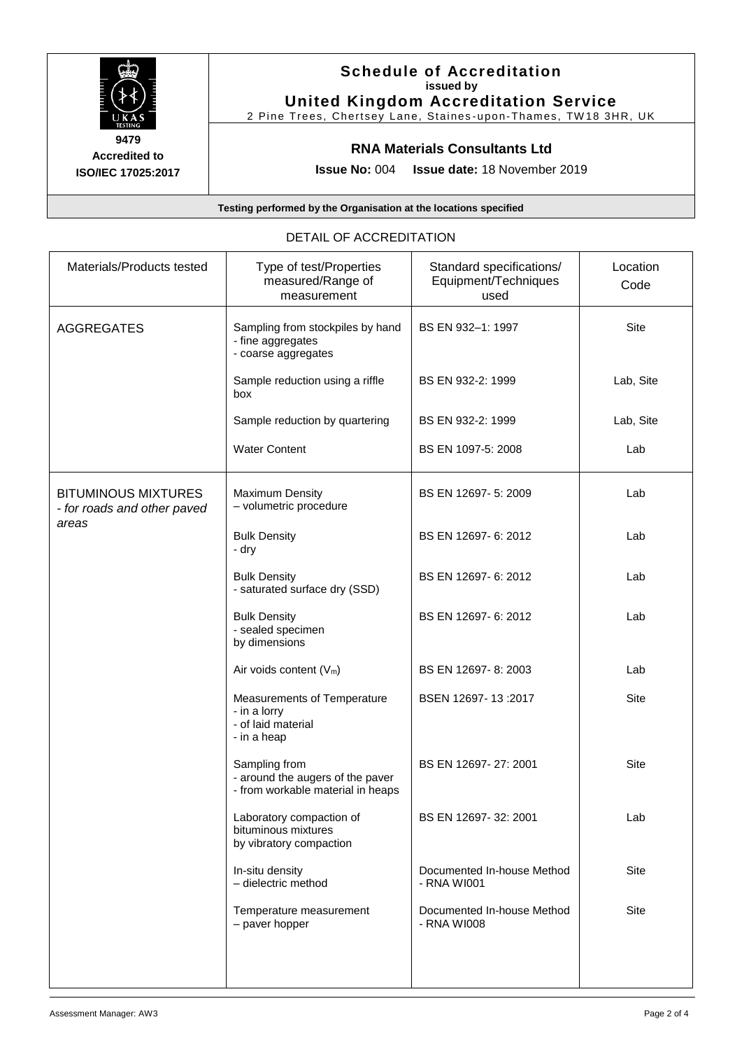

**Accredited to ISO/IEC 17025:2017**

## **Schedule of Accreditation issued by United Kingdom Accreditation Service**

2 Pine Trees, Chertsey Lane, Staines-upon-Thames, TW18 3HR, UK

# **RNA Materials Consultants Ltd**

**Issue No:** 004 **Issue date:** 18 November 2019

**Testing performed by the Organisation at the locations specified**

#### DETAIL OF ACCREDITATION

| Materials/Products tested                                 | Type of test/Properties<br>measured/Range of<br>measurement                            | Standard specifications/<br>Equipment/Techniques<br>used | Location<br>Code |
|-----------------------------------------------------------|----------------------------------------------------------------------------------------|----------------------------------------------------------|------------------|
| <b>AGGREGATES</b>                                         | Sampling from stockpiles by hand<br>- fine aggregates<br>- coarse aggregates           | BS EN 932-1: 1997                                        | Site             |
|                                                           | Sample reduction using a riffle<br>box                                                 | BS EN 932-2: 1999                                        | Lab, Site        |
|                                                           | Sample reduction by quartering                                                         | BS EN 932-2: 1999                                        | Lab, Site        |
|                                                           | <b>Water Content</b>                                                                   | BS EN 1097-5: 2008                                       | Lab              |
| <b>BITUMINOUS MIXTURES</b><br>- for roads and other paved | <b>Maximum Density</b><br>- volumetric procedure                                       | BS EN 12697-5: 2009                                      | Lab              |
| areas                                                     | <b>Bulk Density</b><br>- dry                                                           | BS EN 12697-6: 2012                                      | Lab              |
|                                                           | <b>Bulk Density</b><br>- saturated surface dry (SSD)                                   | BS EN 12697-6: 2012                                      | Lab              |
|                                                           | <b>Bulk Density</b><br>- sealed specimen<br>by dimensions                              | BS EN 12697-6: 2012                                      | Lab              |
|                                                           | Air voids content $(V_m)$                                                              | BS EN 12697-8: 2003                                      | Lab              |
|                                                           | Measurements of Temperature<br>- in a lorry<br>- of laid material<br>- in a heap       | BSEN 12697-13:2017                                       | <b>Site</b>      |
|                                                           | Sampling from<br>- around the augers of the paver<br>- from workable material in heaps | BS EN 12697-27: 2001                                     | Site             |
|                                                           | Laboratory compaction of<br>bituminous mixtures<br>by vibratory compaction             | BS EN 12697-32: 2001                                     | Lab              |
|                                                           | In-situ density<br>- dielectric method                                                 | Documented In-house Method<br>- RNA WI001                | Site             |
|                                                           | Temperature measurement<br>- paver hopper                                              | Documented In-house Method<br>- RNA WI008                | <b>Site</b>      |
|                                                           |                                                                                        |                                                          |                  |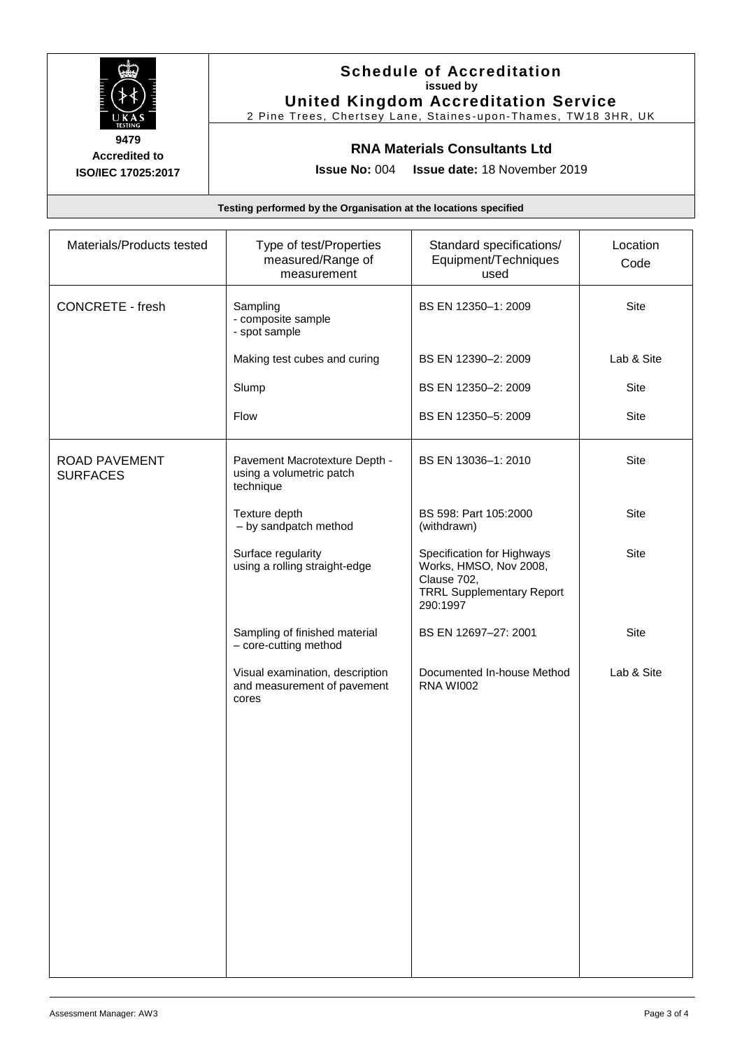

**Accredited to ISO/IEC 17025:2017**

## **Schedule of Accreditation issued by United Kingdom Accreditation Service**

2 Pine Trees, Chertsey Lane, Staines-upon-Thames, TW18 3HR, UK

# **RNA Materials Consultants Ltd**

**Issue No:** 004 **Issue date:** 18 November 2019

**Testing performed by the Organisation at the locations specified**

| Materials/Products tested               | Type of test/Properties<br>measured/Range of<br>measurement             | Standard specifications/<br>Equipment/Techniques<br>used                                                            | Location<br>Code |
|-----------------------------------------|-------------------------------------------------------------------------|---------------------------------------------------------------------------------------------------------------------|------------------|
| <b>CONCRETE - fresh</b>                 | Sampling<br>- composite sample<br>- spot sample                         | BS EN 12350-1: 2009                                                                                                 | Site             |
|                                         | Making test cubes and curing                                            | BS EN 12390-2: 2009                                                                                                 | Lab & Site       |
|                                         | Slump                                                                   | BS EN 12350-2: 2009                                                                                                 | Site             |
|                                         | Flow                                                                    | BS EN 12350-5: 2009                                                                                                 | Site             |
| <b>ROAD PAVEMENT</b><br><b>SURFACES</b> | Pavement Macrotexture Depth -<br>using a volumetric patch<br>technique  | BS EN 13036-1: 2010                                                                                                 | Site             |
|                                         | Texture depth<br>- by sandpatch method                                  | BS 598: Part 105:2000<br>(withdrawn)                                                                                | <b>Site</b>      |
|                                         | Surface regularity<br>using a rolling straight-edge                     | Specification for Highways<br>Works, HMSO, Nov 2008,<br>Clause 702,<br><b>TRRL Supplementary Report</b><br>290:1997 | Site             |
|                                         | Sampling of finished material<br>- core-cutting method                  | BS EN 12697-27: 2001                                                                                                | Site             |
|                                         | Visual examination, description<br>and measurement of pavement<br>cores | Documented In-house Method<br><b>RNA WI002</b>                                                                      | Lab & Site       |